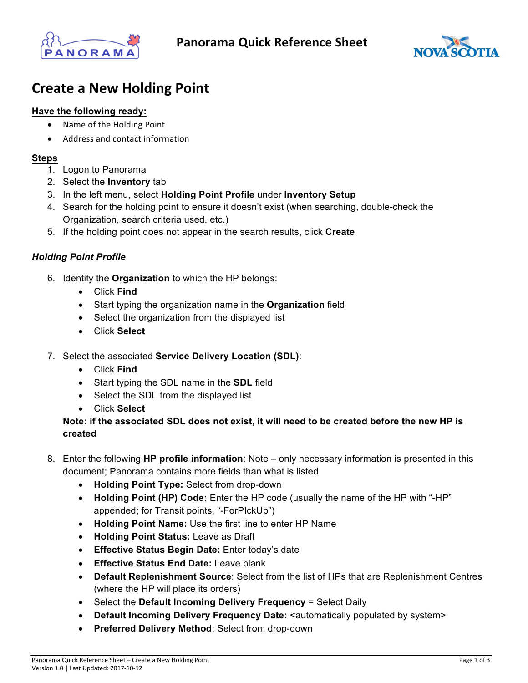



# **Create a New Holding Point**

## **Have the following ready:**

- Name of the Holding Point
- Address and contact information

### **Steps**

- 1. Logon to Panorama
- 2. Select the **Inventory** tab
- 3. In the left menu, select **Holding Point Profile** under **Inventory Setup**
- 4. Search for the holding point to ensure it doesn't exist (when searching, double-check the Organization, search criteria used, etc.)
- 5. If the holding point does not appear in the search results, click **Create**

### *Holding Point Profile*

- 6. Identify the **Organization** to which the HP belongs:
	- Click **Find**
	- Start typing the organization name in the **Organization** field
	- Select the organization from the displayed list
	- Click **Select**
- 7. Select the associated **Service Delivery Location (SDL)**:
	- Click **Find**
	- Start typing the SDL name in the **SDL** field
	- Select the SDL from the displayed list
	- Click **Select**

# **Note: if the associated SDL does not exist, it will need to be created before the new HP is created**

- 8. Enter the following **HP profile information**: Note only necessary information is presented in this document; Panorama contains more fields than what is listed
	- **Holding Point Type:** Select from drop-down
	- **Holding Point (HP) Code:** Enter the HP code (usually the name of the HP with "-HP" appended; for Transit points, "-ForPIckUp")
	- **Holding Point Name:** Use the first line to enter HP Name
	- **Holding Point Status:** Leave as Draft
	- **Effective Status Begin Date:** Enter today's date
	- **Effective Status End Date:** Leave blank
	- **Default Replenishment Source**: Select from the list of HPs that are Replenishment Centres (where the HP will place its orders)
	- Select the **Default Incoming Delivery Frequency** = Select Daily
	- Default Incoming Delivery Frequency Date: <automatically populated by system>
	- **Preferred Delivery Method**: Select from drop-down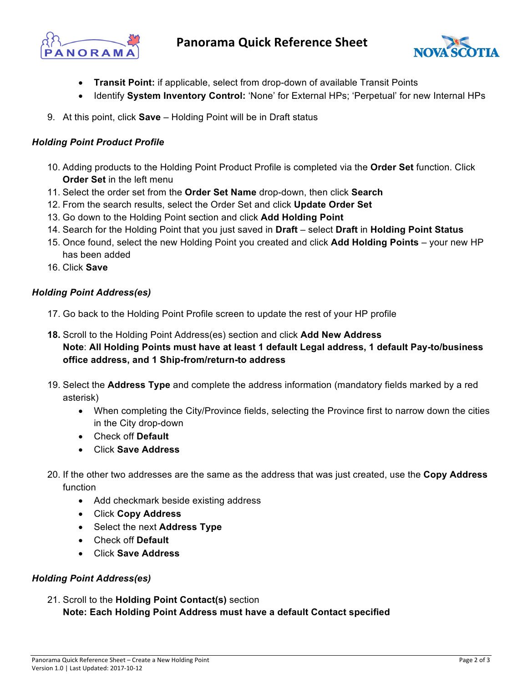



- **Transit Point:** if applicable, select from drop-down of available Transit Points
- Identify **System Inventory Control:** 'None' for External HPs; 'Perpetual' for new Internal HPs
- 9. At this point, click **Save** Holding Point will be in Draft status

# *Holding Point Product Profile*

- 10. Adding products to the Holding Point Product Profile is completed via the **Order Set** function. Click **Order Set** in the left menu
- 11. Select the order set from the **Order Set Name** drop-down, then click **Search**
- 12. From the search results, select the Order Set and click **Update Order Set**
- 13. Go down to the Holding Point section and click **Add Holding Point**
- 14. Search for the Holding Point that you just saved in **Draft** select **Draft** in **Holding Point Status**
- 15. Once found, select the new Holding Point you created and click **Add Holding Points** your new HP has been added
- 16. Click **Save**

### *Holding Point Address(es)*

- 17. Go back to the Holding Point Profile screen to update the rest of your HP profile
- **18.** Scroll to the Holding Point Address(es) section and click **Add New Address Note**: **All Holding Points must have at least 1 default Legal address, 1 default Pay-to/business office address, and 1 Ship-from/return-to address**
- 19. Select the **Address Type** and complete the address information (mandatory fields marked by a red asterisk)
	- When completing the City/Province fields, selecting the Province first to narrow down the cities in the City drop-down
	- Check off **Default**
	- Click **Save Address**
- 20. If the other two addresses are the same as the address that was just created, use the **Copy Address** function
	- Add checkmark beside existing address
	- Click **Copy Address**
	- Select the next **Address Type**
	- Check off **Default**
	- Click **Save Address**

# *Holding Point Address(es)*

21. Scroll to the **Holding Point Contact(s)** section **Note: Each Holding Point Address must have a default Contact specified**